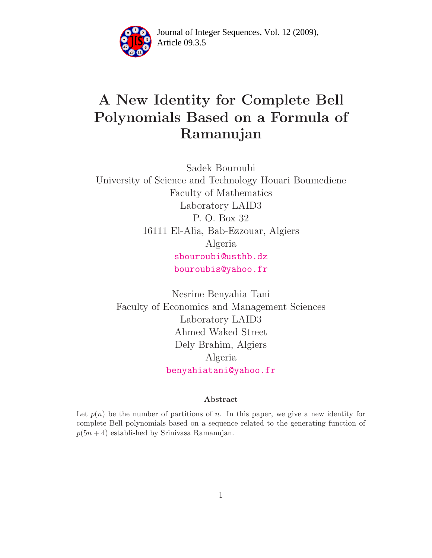

Article 09.3.5 **<sup>2</sup>** Journal of Integer Sequences, Vol. 12 (2009),

# A New Identity for Complete Bell Polynomials Based on a Formula of Ramanujan

Sadek Bouroubi University of Science and Technology Houari Boumediene Faculty of Mathematics Laboratory LAID3 P. O. Box 32 16111 El-Alia, Bab-Ezzouar, Algiers Algeria [sbouroubi@usthb.dz](mailto:sbouroubi@usthb.dz) [bouroubis@yahoo.fr](mailto:bouroubis@yahoo.fr)

Nesrine Benyahia Tani Faculty of Economics and Management Sciences Laboratory LAID3 Ahmed Waked Street Dely Brahim, Algiers Algeria [benyahiatani@yahoo.fr](mailto:benyahiatani@yahoo.fr)

#### Abstract

Let  $p(n)$  be the number of partitions of n. In this paper, we give a new identity for complete Bell polynomials based on a sequence related to the generating function of  $p(5n + 4)$  established by Srinivasa Ramanujan.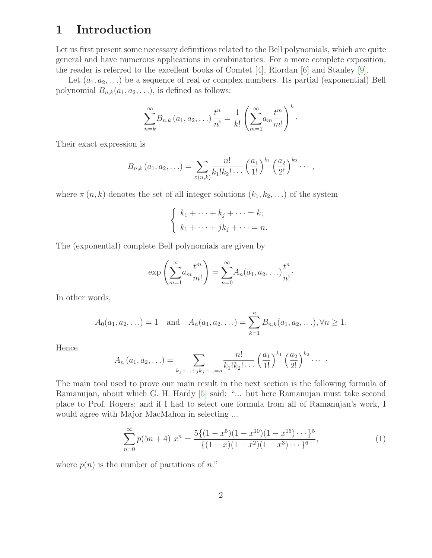### 1 Introduction

Let us first present some necessary definitions related to the Bell polynomials, which are quite general and have numerous applications in combinatorics. For a more complete exposition, the reader is referred to the excellent books of Comtet [\[4\]](#page-5-0), Riordan [\[6\]](#page-5-1) and Stanley [\[9\]](#page-5-2).

Let  $(a_1, a_2, \ldots)$  be a sequence of real or complex numbers. Its partial (exponential) Bell polynomial  $B_{n,k}(a_1, a_2, \ldots)$ , is defined as follows:

$$
\sum_{n=k}^{\infty} B_{n,k} (a_1, a_2, \ldots) \frac{t^n}{n!} = \frac{1}{k!} \left( \sum_{m=1}^{\infty} a_m \frac{t^m}{m!} \right)^k.
$$

Their exact expression is

$$
B_{n,k}(a_1,a_2,\ldots)=\sum_{\pi(n,k)}\frac{n!}{k_1!k_2!\cdots}\left(\frac{a_1}{1!}\right)^{k_1}\left(\frac{a_2}{2!}\right)^{k_2}\cdots,
$$

where  $\pi(n, k)$  denotes the set of all integer solutions  $(k_1, k_2, \ldots)$  of the system

$$
\begin{cases} k_1 + \cdots + k_j + \cdots = k; \\ k_1 + \cdots + jk_j + \cdots = n. \end{cases}
$$

The (exponential) complete Bell polynomials are given by

$$
\exp\left(\sum_{m=1}^{\infty}a_m\frac{t^m}{m!}\right)=\sum_{n=0}^{\infty}A_n(a_1,a_2,\ldots)\frac{t^n}{n!}.
$$

In other words,

$$
A_0(a_1, a_2,...) = 1
$$
 and  $A_n(a_1, a_2,...) = \sum_{k=1}^n B_{n,k}(a_1, a_2,...), \forall n \ge 1.$ 

Hence

$$
A_n (a_1, a_2,...) = \sum_{k_1 + ... + jk_j + ... = n} \frac{n!}{k_1! k_2! \cdots} \left(\frac{a_1}{1!}\right)^{k_1} \left(\frac{a_2}{2!}\right)^{k_2} \cdots
$$

The main tool used to prove our main result in the next section is the following formula of Ramanujan, about which G. H. Hardy [\[5\]](#page-5-3) said: "... but here Ramanujan must take second place to Prof. Rogers; and if I had to select one formula from all of Ramanujan's work, I would agree with Major MacMahon in selecting ...

<span id="page-1-0"></span>
$$
\sum_{n=0}^{\infty} p(5n+4) \ x^n = \frac{5\{(1-x^5)(1-x^{10})(1-x^{15})\cdots\}^5}{\{(1-x)(1-x^2)(1-x^3)\cdots\}^6},\tag{1}
$$

where  $p(n)$  is the number of partitions of n."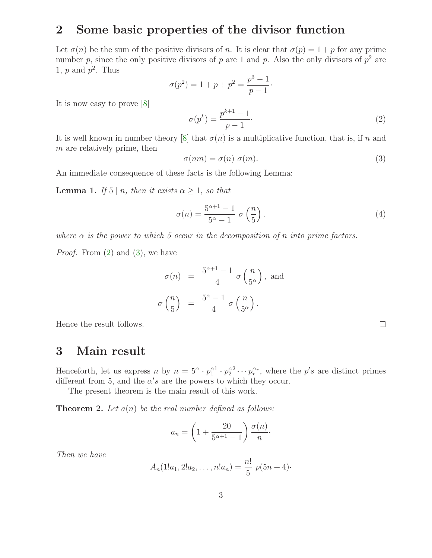#### 2 Some basic properties of the divisor function

Let  $\sigma(n)$  be the sum of the positive divisors of n. It is clear that  $\sigma(p) = 1 + p$  for any prime number p, since the only positive divisors of p are 1 and p. Also the only divisors of  $p^2$  are 1,  $p$  and  $p^2$ . Thus

$$
\sigma(p^2) = 1 + p + p^2 = \frac{p^3 - 1}{p - 1}.
$$

<span id="page-2-0"></span>It is now easy to prove [\[8\]](#page-5-4)

$$
\sigma(p^k) = \frac{p^{k+1} - 1}{p - 1}.\tag{2}
$$

<span id="page-2-1"></span>It is well known in number theory [\[8\]](#page-5-4) that  $\sigma(n)$  is a multiplicative function, that is, if n and m are relatively prime, then

<span id="page-2-2"></span>
$$
\sigma(nm) = \sigma(n) \sigma(m). \tag{3}
$$

An immediate consequence of these facts is the following Lemma:

**Lemma 1.** If  $5 \mid n$ , then it exists  $\alpha \geq 1$ , so that

$$
\sigma(n) = \frac{5^{\alpha+1} - 1}{5^{\alpha} - 1} \sigma\left(\frac{n}{5}\right). \tag{4}
$$

where  $\alpha$  is the power to which 5 occur in the decomposition of n into prime factors.

*Proof.* From  $(2)$  and  $(3)$ , we have

$$
\sigma(n) = \frac{5^{\alpha+1} - 1}{4} \sigma\left(\frac{n}{5^{\alpha}}\right), \text{ and}
$$

$$
\sigma\left(\frac{n}{5}\right) = \frac{5^{\alpha} - 1}{4} \sigma\left(\frac{n}{5^{\alpha}}\right).
$$

Hence the result follows.

#### 3 Main result

Henceforth, let us express n by  $n = 5^{\alpha} \cdot p_1^{\alpha_1} \cdot p_2^{\alpha_2} \cdots p_r^{\alpha_r}$ , where the p's are distinct primes different from 5, and the  $\alpha' s$  are the powers to which they occur.

The present theorem is the main result of this work.

<span id="page-2-3"></span>**Theorem 2.** Let  $a(n)$  be the real number defined as follows:

$$
a_n = \left(1 + \frac{20}{5^{\alpha+1} - 1}\right) \frac{\sigma(n)}{n}.
$$

Then we have

$$
A_n(1!a_1, 2!a_2, \ldots, n!a_n) = \frac{n!}{5} p(5n+4)
$$

 $\Box$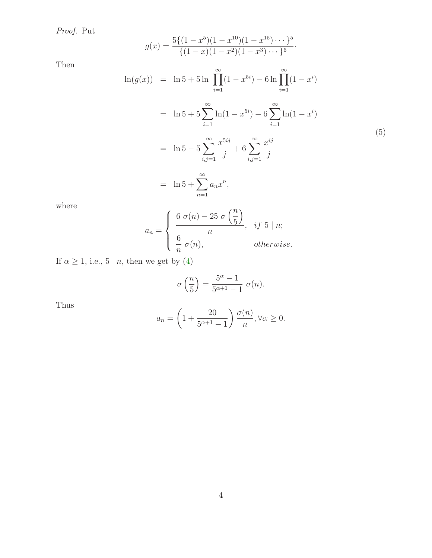Proof. Put

<span id="page-3-0"></span>Then

$$
g(x) = \frac{5\{(1-x^5)(1-x^{10})(1-x^{15})\cdots\}^5}{\{(1-x)(1-x^2)(1-x^3)\cdots\}^6}.
$$
  
\n
$$
\ln(g(x)) = \ln 5 + 5 \ln \prod_{i=1}^{\infty} (1-x^{5i}) - 6 \ln \prod_{i=1}^{\infty} (1-x^i)
$$
  
\n
$$
= \ln 5 + 5 \sum_{i=1}^{\infty} \ln(1-x^{5i}) - 6 \sum_{i=1}^{\infty} \ln(1-x^i)
$$
  
\n
$$
= \ln 5 - 5 \sum_{i,j=1}^{\infty} \frac{x^{5ij}}{j} + 6 \sum_{i,j=1}^{\infty} \frac{x^{ij}}{j}
$$
  
\n
$$
= \ln 5 + \sum_{n=1}^{\infty} a_n x^n,
$$
\n(5)

where

$$
a_n = \begin{cases} \frac{6 \sigma(n) - 25 \sigma\left(\frac{n}{5}\right)}{n}, & \text{if } 5 \mid n; \\ \frac{6}{n} \sigma(n), & \text{otherwise.} \end{cases}
$$

If  $\alpha \geq 1,$  i.e.,  $5 \mid n,$  then we get by  $(4)$ 

$$
\sigma\left(\frac{n}{5}\right) = \frac{5^{\alpha} - 1}{5^{\alpha+1} - 1} \sigma(n).
$$

Thus

$$
a_n = \left(1 + \frac{20}{5^{\alpha+1} - 1}\right) \frac{\sigma(n)}{n}, \forall \alpha \ge 0.
$$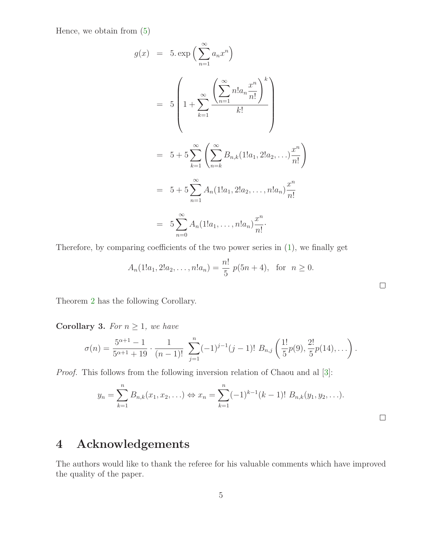Hence, we obtain from [\(5\)](#page-3-0)

$$
g(x) = 5 \exp \left( \sum_{n=1}^{\infty} a_n x^n \right)
$$
  
=  $5 \left( 1 + \sum_{k=1}^{\infty} \frac{\left( \sum_{n=1}^{\infty} n! a_n \frac{x^n}{n!} \right)^k}{k!} \right)$   
=  $5 + 5 \sum_{k=1}^{\infty} \left( \sum_{n=k}^{\infty} B_{n,k} (1!a_1, 2!a_2, \ldots) \frac{x^n}{n!} \right)$   
=  $5 + 5 \sum_{n=1}^{\infty} A_n (1!a_1, 2!a_2, \ldots, n!a_n) \frac{x^n}{n!}$   
=  $5 \sum_{n=0}^{\infty} A_n (1!a_1, \ldots, n!a_n) \frac{x^n}{n!}.$ 

Therefore, by comparing coefficients of the two power series in [\(1\)](#page-1-0), we finally get

$$
A_n(1!a_1, 2!a_2, \dots, n!a_n) = \frac{n!}{5} p(5n+4), \text{ for } n \ge 0.
$$

 $\Box$ 

Theorem [2](#page-2-3) has the following Corollary.

Corollary 3. For  $n \geq 1$ , we have

$$
\sigma(n) = \frac{5^{\alpha+1}-1}{5^{\alpha+1}+19} \cdot \frac{1}{(n-1)!} \sum_{j=1}^{n} (-1)^{j-1} (j-1)! B_{n,j} \left( \frac{1!}{5} p(9), \frac{2!}{5} p(14), \ldots \right).
$$

Proof. This follows from the following inversion relation of Chaou and al [\[3\]](#page-5-5):

$$
y_n = \sum_{k=1}^n B_{n,k}(x_1, x_2, \ldots) \Leftrightarrow x_n = \sum_{k=1}^n (-1)^{k-1}(k-1)!\ B_{n,k}(y_1, y_2, \ldots).
$$

## 4 Acknowledgements

The authors would like to thank the referee for his valuable comments which have improved the quality of the paper.